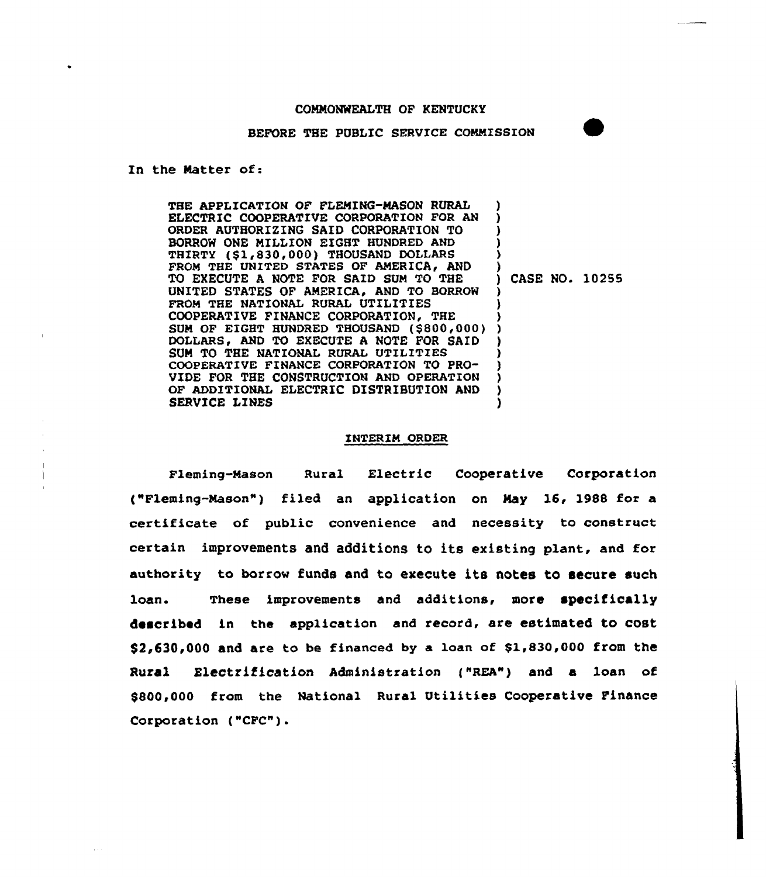## COMMONWEALTH OF KENTUCKY

## BEFORE THE PUBLIC SERVICE COMMISSION

In the Natter of:

THE APPLICATION OF FLEMING-NASON RURAL ELECTRIC COOPERATIVE CORPORATION FOR AN ORDER AUTHORIZING SAID CORPORATION TO BORROW ONE MILLION EIGHT HUNDRED AND THIRTY (\$1,830,000) THOUSAND DOLLARS FROM THE UNITED STATES OF AMERICA, AND TO EXECUTE A NOTE FOR SAID SUM TO THE UNITED STATES OF AMERICA, AND TO BORROW FROM THE NATIONAL RURAL UTILITIES COOPERATIVE FINANCE CORPORATION, THE COOPERATIVE FINANCE CORPORATION, THE<br>SUM OF EIGHT HUNDRED THOUSAND (\$800,000)) DOLLARS, AND TO EXECUTE A NOTE FOR SAID SUN TO THE NATIONAL RURAL UTILITIES COOPERATIVE FINANCE CORPORATION TO PRO-VIDE FOR THE CONSTRUCTION AND OPERATION OF ADDITIONAL ELECTRIC DISTRIBUTION AND SERVICE LINES ) ) ) ) ) ) ) CASE NO. 10255 ) ) ) ) ) ) ) ) )

## INTERIM ORDER

Fleming-Mason Rural Electric Cooperative Corporation ("Fleming-Nason") filed an application on Nay 16, 1988 for a certificate of public convenience and necessity to construct certain improvements and additions to its existing plant, and for authority to borrow funds and to execute its notes to secure such loan. These improvements and additions, more specifically described in the application and record, are estimated to cost  $$2,630,000$  and are to be financed by a loan of  $$1,830,000$  from the Rural Electrification Administration ("REA") and a loan of \$800,000 from the National Rural Utilities Cooperative Finance Corporation ("CFC").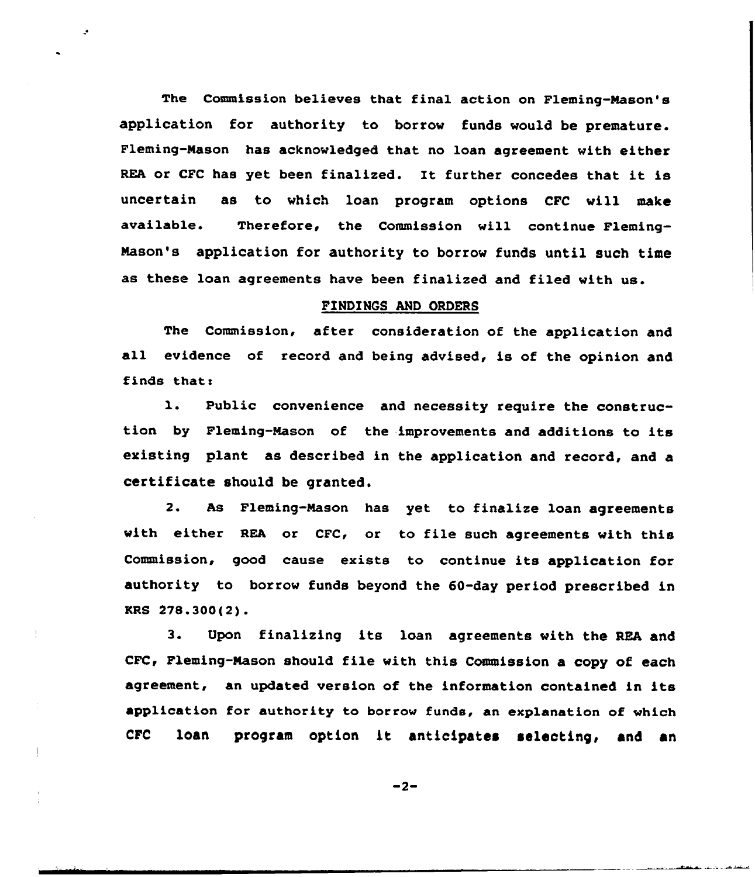The Commission believes that final action on Fleming-Mason's application for authority to borrow funds would be premature. Fleming-Mason has acknowledged that no loan agreement with either REA or CFC has yet been finalized. It further concedes that it is uncertain as to which loan program options CPC will make available. Therefore, the Commission will continue Fleming-Mason's application for authority to borrow funds until such time as these loan agreements have been finalized and filed with us.

**A** 

## FINDINGS AND ORDERS

The Commission, after consideration of the application and all evidence of record and being advised, is of the opinion and finds thats

1. Public convenience and necessity require the construction by Fleming-Mason of the improvements and additions to its existing plant as described in the application and record, and a certificate should be granted.

2. As Fleming-Mason has yet to finalize loan agreements with either REA or CFC, or to file such agreements with this Commission, good cause exists to continue its application for authority to borrow funds beyond the 60-day period prescribed in KRS 278.300(2).

3. Upon finalizing its loan agreements with the REA and CFC, Fleming-Mason should file with this Commission a copy of each agreement, an updated version of the information contained in its application for authority to borrow funds, an explanation of which CFC loan program option it anticipates se1ecting, and an

 $-2-$